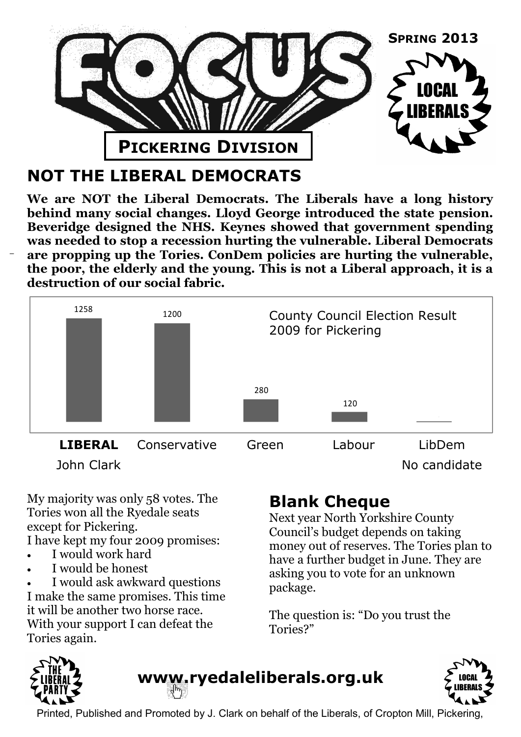

# **NOT THE LIBERAL DEMOCRATS**

**We are NOT the Liberal Democrats. The Liberals have a long history behind many social changes. Lloyd George introduced the state pension. Beveridge designed the NHS. Keynes showed that government spending was needed to stop a recession hurting the vulnerable. Liberal Democrats are propping up the Tories. ConDem policies are hurting the vulnerable, the poor, the elderly and the young. This is not a Liberal approach, it is a destruction of our social fabric.**



My majority was only 58 votes. The Tories won all the Ryedale seats except for Pickering.

I have kept my four 2009 promises:

- I would work hard
- I would be honest

 I would ask awkward questions I make the same promises. This time it will be another two horse race. With your support I can defeat the Tories again.

# **Blank Cheque**

Next year North Yorkshire County Council's budget depends on taking money out of reserves. The Tories plan to have a further budget in June. They are asking you to vote for an unknown package.

The question is: "Do you trust the Tories?"



www.ryedaleliberals.org.uk



Printed, Published and Promoted by J. Clark on behalf of the Liberals, of Cropton Mill, Pickering,